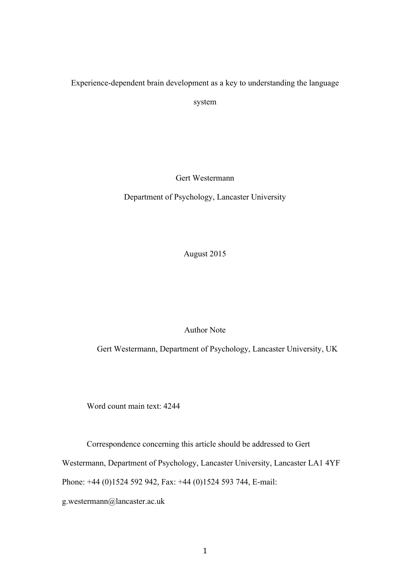Experience-dependent brain development as a key to understanding the language

system

Gert Westermann

Department of Psychology, Lancaster University

August 2015

Author Note

Gert Westermann, Department of Psychology, Lancaster University, UK

Word count main text: 4244

Correspondence concerning this article should be addressed to Gert

Westermann, Department of Psychology, Lancaster University, Lancaster LA1 4YF

Phone: +44 (0)1524 592 942, Fax: +44 (0)1524 593 744, E-mail:

g.westermann@lancaster.ac.uk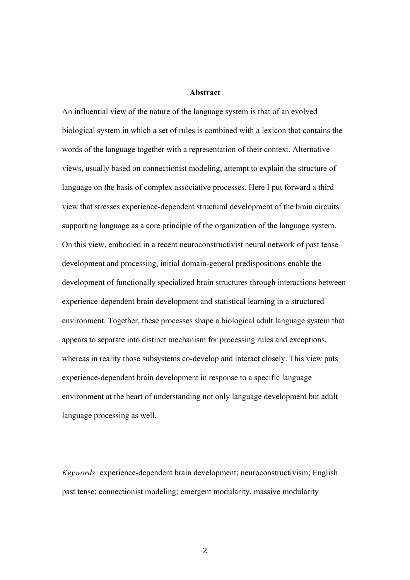#### **Abstract**

An influential view of the nature of the language system is that of an evolved biological system in which a set of rules is combined with a lexicon that contains the words of the language together with a representation of their context. Alternative views, usually based on connectionist modeling, attempt to explain the structure of language on the basis of complex associative processes. Here I put forward a third view that stresses experience-dependent structural development of the brain circuits supporting language as a core principle of the organization of the language system. On this view, embodied in a recent neuroconstructivist neural network of past tense development and processing, initial domain-general predispositions enable the development of functionally specialized brain structures through interactions between experience-dependent brain development and statistical learning in a structured environment. Together, these processes shape a biological adult language system that appears to separate into distinct mechanism for processing rules and exceptions, whereas in reality those subsystems co-develop and interact closely. This view puts experience-dependent brain development in response to a specific language environment at the heart of understanding not only language development but adult language processing as well.

*Keywords:* experience-dependent brain development; neuroconstructivism; English past tense; connectionist modeling; emergent modularity, massive modularity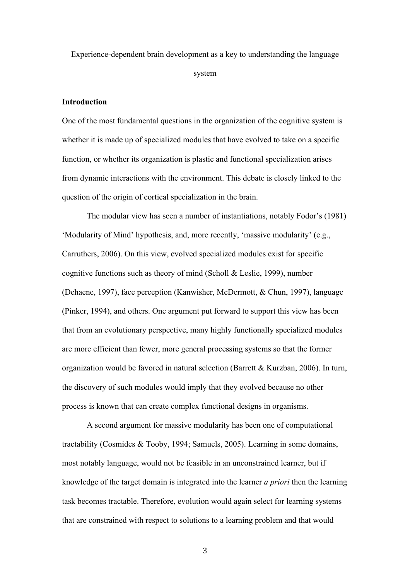Experience-dependent brain development as a key to understanding the language

system

# **Introduction**

One of the most fundamental questions in the organization of the cognitive system is whether it is made up of specialized modules that have evolved to take on a specific function, or whether its organization is plastic and functional specialization arises from dynamic interactions with the environment. This debate is closely linked to the question of the origin of cortical specialization in the brain.

The modular view has seen a number of instantiations, notably Fodor's (1981) 'Modularity of Mind' hypothesis, and, more recently, 'massive modularity' (e.g., Carruthers, 2006). On this view, evolved specialized modules exist for specific cognitive functions such as theory of mind (Scholl & Leslie, 1999), number (Dehaene, 1997), face perception (Kanwisher, McDermott, & Chun, 1997), language (Pinker, 1994), and others. One argument put forward to support this view has been that from an evolutionary perspective, many highly functionally specialized modules are more efficient than fewer, more general processing systems so that the former organization would be favored in natural selection (Barrett & Kurzban, 2006). In turn, the discovery of such modules would imply that they evolved because no other process is known that can create complex functional designs in organisms.

A second argument for massive modularity has been one of computational tractability (Cosmides & Tooby, 1994; Samuels, 2005). Learning in some domains, most notably language, would not be feasible in an unconstrained learner, but if knowledge of the target domain is integrated into the learner *a priori* then the learning task becomes tractable. Therefore, evolution would again select for learning systems that are constrained with respect to solutions to a learning problem and that would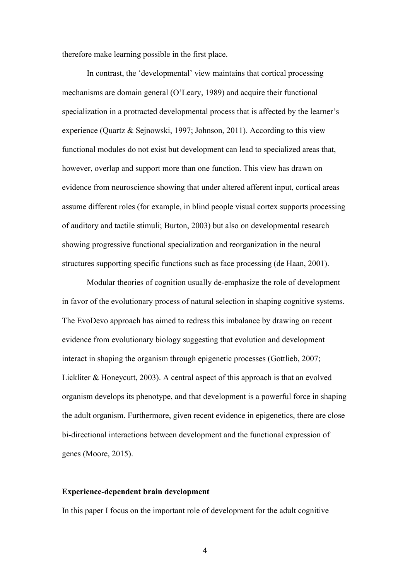therefore make learning possible in the first place.

In contrast, the 'developmental' view maintains that cortical processing mechanisms are domain general (O'Leary, 1989) and acquire their functional specialization in a protracted developmental process that is affected by the learner's experience (Quartz & Sejnowski, 1997; Johnson, 2011). According to this view functional modules do not exist but development can lead to specialized areas that, however, overlap and support more than one function. This view has drawn on evidence from neuroscience showing that under altered afferent input, cortical areas assume different roles (for example, in blind people visual cortex supports processing of auditory and tactile stimuli; Burton, 2003) but also on developmental research showing progressive functional specialization and reorganization in the neural structures supporting specific functions such as face processing (de Haan, 2001).

Modular theories of cognition usually de-emphasize the role of development in favor of the evolutionary process of natural selection in shaping cognitive systems. The EvoDevo approach has aimed to redress this imbalance by drawing on recent evidence from evolutionary biology suggesting that evolution and development interact in shaping the organism through epigenetic processes (Gottlieb, 2007; Lickliter & Honeycutt, 2003). A central aspect of this approach is that an evolved organism develops its phenotype, and that development is a powerful force in shaping the adult organism. Furthermore, given recent evidence in epigenetics, there are close bi-directional interactions between development and the functional expression of genes (Moore, 2015).

## **Experience-dependent brain development**

In this paper I focus on the important role of development for the adult cognitive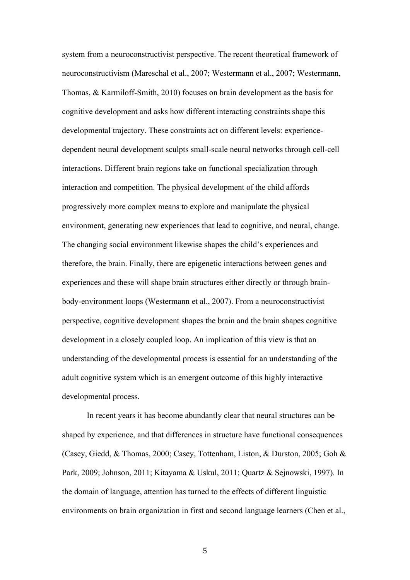system from a neuroconstructivist perspective. The recent theoretical framework of neuroconstructivism (Mareschal et al., 2007; Westermann et al., 2007; Westermann, Thomas, & Karmiloff-Smith, 2010) focuses on brain development as the basis for cognitive development and asks how different interacting constraints shape this developmental trajectory. These constraints act on different levels: experiencedependent neural development sculpts small-scale neural networks through cell-cell interactions. Different brain regions take on functional specialization through interaction and competition. The physical development of the child affords progressively more complex means to explore and manipulate the physical environment, generating new experiences that lead to cognitive, and neural, change. The changing social environment likewise shapes the child's experiences and therefore, the brain. Finally, there are epigenetic interactions between genes and experiences and these will shape brain structures either directly or through brainbody-environment loops (Westermann et al., 2007). From a neuroconstructivist perspective, cognitive development shapes the brain and the brain shapes cognitive development in a closely coupled loop. An implication of this view is that an understanding of the developmental process is essential for an understanding of the adult cognitive system which is an emergent outcome of this highly interactive developmental process.

In recent years it has become abundantly clear that neural structures can be shaped by experience, and that differences in structure have functional consequences (Casey, Giedd, & Thomas, 2000; Casey, Tottenham, Liston, & Durston, 2005; Goh & Park, 2009; Johnson, 2011; Kitayama & Uskul, 2011; Quartz & Sejnowski, 1997). In the domain of language, attention has turned to the effects of different linguistic environments on brain organization in first and second language learners (Chen et al.,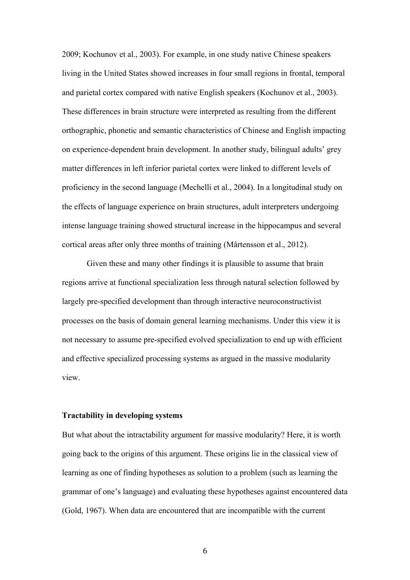2009; Kochunov et al., 2003). For example, in one study native Chinese speakers living in the United States showed increases in four small regions in frontal, temporal and parietal cortex compared with native English speakers (Kochunov et al., 2003). These differences in brain structure were interpreted as resulting from the different orthographic, phonetic and semantic characteristics of Chinese and English impacting on experience-dependent brain development. In another study, bilingual adults' grey matter differences in left inferior parietal cortex were linked to different levels of proficiency in the second language (Mechelli et al., 2004). In a longitudinal study on the effects of language experience on brain structures, adult interpreters undergoing intense language training showed structural increase in the hippocampus and several cortical areas after only three months of training (Mårtensson et al., 2012).

Given these and many other findings it is plausible to assume that brain regions arrive at functional specialization less through natural selection followed by largely pre-specified development than through interactive neuroconstructivist processes on the basis of domain general learning mechanisms. Under this view it is not necessary to assume pre-specified evolved specialization to end up with efficient and effective specialized processing systems as argued in the massive modularity view.

#### **Tractability in developing systems**

But what about the intractability argument for massive modularity? Here, it is worth going back to the origins of this argument. These origins lie in the classical view of learning as one of finding hypotheses as solution to a problem (such as learning the grammar of one's language) and evaluating these hypotheses against encountered data (Gold, 1967). When data are encountered that are incompatible with the current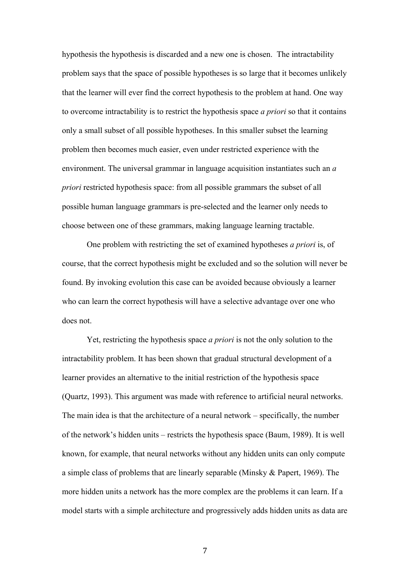hypothesis the hypothesis is discarded and a new one is chosen. The intractability problem says that the space of possible hypotheses is so large that it becomes unlikely that the learner will ever find the correct hypothesis to the problem at hand. One way to overcome intractability is to restrict the hypothesis space *a priori* so that it contains only a small subset of all possible hypotheses. In this smaller subset the learning problem then becomes much easier, even under restricted experience with the environment. The universal grammar in language acquisition instantiates such an *a priori* restricted hypothesis space: from all possible grammars the subset of all possible human language grammars is pre-selected and the learner only needs to choose between one of these grammars, making language learning tractable.

One problem with restricting the set of examined hypotheses *a priori* is, of course, that the correct hypothesis might be excluded and so the solution will never be found. By invoking evolution this case can be avoided because obviously a learner who can learn the correct hypothesis will have a selective advantage over one who does not.

Yet, restricting the hypothesis space *a priori* is not the only solution to the intractability problem. It has been shown that gradual structural development of a learner provides an alternative to the initial restriction of the hypothesis space (Quartz, 1993). This argument was made with reference to artificial neural networks. The main idea is that the architecture of a neural network – specifically, the number of the network's hidden units – restricts the hypothesis space (Baum, 1989). It is well known, for example, that neural networks without any hidden units can only compute a simple class of problems that are linearly separable (Minsky & Papert, 1969). The more hidden units a network has the more complex are the problems it can learn. If a model starts with a simple architecture and progressively adds hidden units as data are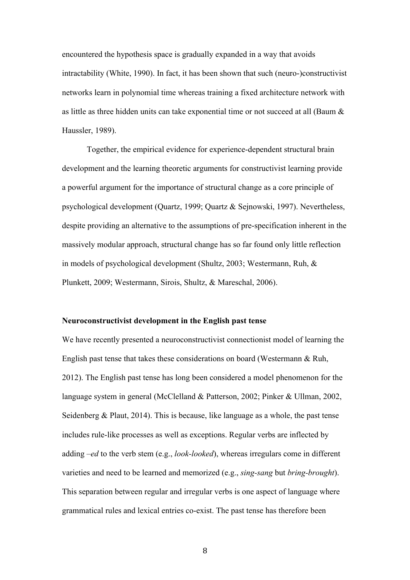encountered the hypothesis space is gradually expanded in a way that avoids intractability (White, 1990). In fact, it has been shown that such (neuro-)constructivist networks learn in polynomial time whereas training a fixed architecture network with as little as three hidden units can take exponential time or not succeed at all (Baum & Haussler, 1989).

Together, the empirical evidence for experience-dependent structural brain development and the learning theoretic arguments for constructivist learning provide a powerful argument for the importance of structural change as a core principle of psychological development (Quartz, 1999; Quartz & Sejnowski, 1997). Nevertheless, despite providing an alternative to the assumptions of pre-specification inherent in the massively modular approach, structural change has so far found only little reflection in models of psychological development (Shultz, 2003; Westermann, Ruh, & Plunkett, 2009; Westermann, Sirois, Shultz, & Mareschal, 2006).

#### **Neuroconstructivist development in the English past tense**

We have recently presented a neuroconstructivist connectionist model of learning the English past tense that takes these considerations on board (Westermann & Ruh, 2012). The English past tense has long been considered a model phenomenon for the language system in general (McClelland & Patterson, 2002; Pinker & Ullman, 2002, Seidenberg & Plaut, 2014). This is because, like language as a whole, the past tense includes rule-like processes as well as exceptions. Regular verbs are inflected by adding *–ed* to the verb stem (e.g., *look-looked*), whereas irregulars come in different varieties and need to be learned and memorized (e.g., *sing-sang* but *bring-brought*). This separation between regular and irregular verbs is one aspect of language where grammatical rules and lexical entries co-exist. The past tense has therefore been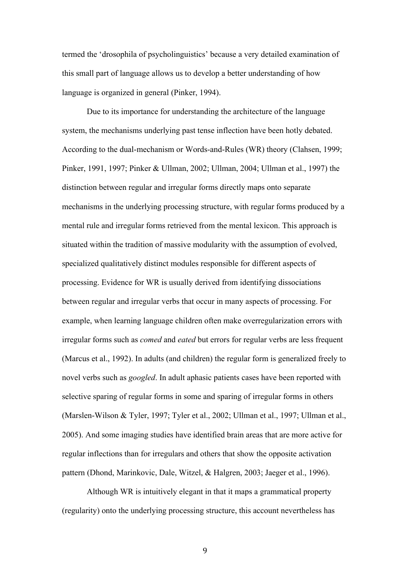termed the 'drosophila of psycholinguistics' because a very detailed examination of this small part of language allows us to develop a better understanding of how language is organized in general (Pinker, 1994).

Due to its importance for understanding the architecture of the language system, the mechanisms underlying past tense inflection have been hotly debated. According to the dual-mechanism or Words-and-Rules (WR) theory (Clahsen, 1999; Pinker, 1991, 1997; Pinker & Ullman, 2002; Ullman, 2004; Ullman et al., 1997) the distinction between regular and irregular forms directly maps onto separate mechanisms in the underlying processing structure, with regular forms produced by a mental rule and irregular forms retrieved from the mental lexicon. This approach is situated within the tradition of massive modularity with the assumption of evolved, specialized qualitatively distinct modules responsible for different aspects of processing. Evidence for WR is usually derived from identifying dissociations between regular and irregular verbs that occur in many aspects of processing. For example, when learning language children often make overregularization errors with irregular forms such as *comed* and *eated* but errors for regular verbs are less frequent (Marcus et al., 1992). In adults (and children) the regular form is generalized freely to novel verbs such as *googled*. In adult aphasic patients cases have been reported with selective sparing of regular forms in some and sparing of irregular forms in others (Marslen-Wilson & Tyler, 1997; Tyler et al., 2002; Ullman et al., 1997; Ullman et al., 2005). And some imaging studies have identified brain areas that are more active for regular inflections than for irregulars and others that show the opposite activation pattern (Dhond, Marinkovic, Dale, Witzel, & Halgren, 2003; Jaeger et al., 1996).

Although WR is intuitively elegant in that it maps a grammatical property (regularity) onto the underlying processing structure, this account nevertheless has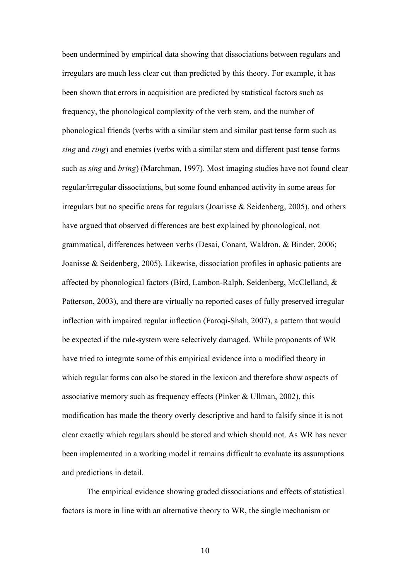been undermined by empirical data showing that dissociations between regulars and irregulars are much less clear cut than predicted by this theory. For example, it has been shown that errors in acquisition are predicted by statistical factors such as frequency, the phonological complexity of the verb stem, and the number of phonological friends (verbs with a similar stem and similar past tense form such as *sing* and *ring*) and enemies (verbs with a similar stem and different past tense forms such as *sing* and *bring*) (Marchman, 1997). Most imaging studies have not found clear regular/irregular dissociations, but some found enhanced activity in some areas for irregulars but no specific areas for regulars (Joanisse & Seidenberg, 2005), and others have argued that observed differences are best explained by phonological, not grammatical, differences between verbs (Desai, Conant, Waldron, & Binder, 2006; Joanisse & Seidenberg, 2005). Likewise, dissociation profiles in aphasic patients are affected by phonological factors (Bird, Lambon-Ralph, Seidenberg, McClelland, & Patterson, 2003), and there are virtually no reported cases of fully preserved irregular inflection with impaired regular inflection (Faroqi-Shah, 2007), a pattern that would be expected if the rule-system were selectively damaged. While proponents of WR have tried to integrate some of this empirical evidence into a modified theory in which regular forms can also be stored in the lexicon and therefore show aspects of associative memory such as frequency effects (Pinker & Ullman, 2002), this modification has made the theory overly descriptive and hard to falsify since it is not clear exactly which regulars should be stored and which should not. As WR has never been implemented in a working model it remains difficult to evaluate its assumptions and predictions in detail.

The empirical evidence showing graded dissociations and effects of statistical factors is more in line with an alternative theory to WR, the single mechanism or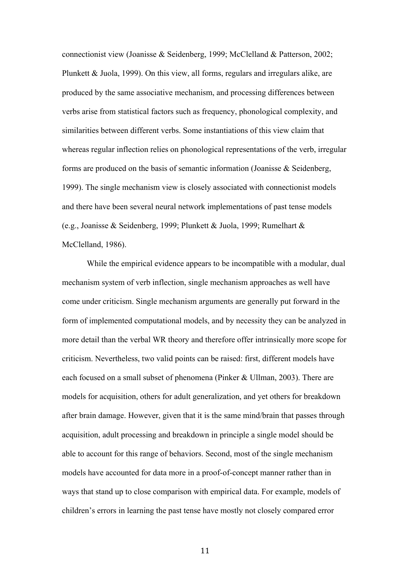connectionist view (Joanisse & Seidenberg, 1999; McClelland & Patterson, 2002; Plunkett & Juola, 1999). On this view, all forms, regulars and irregulars alike, are produced by the same associative mechanism, and processing differences between verbs arise from statistical factors such as frequency, phonological complexity, and similarities between different verbs. Some instantiations of this view claim that whereas regular inflection relies on phonological representations of the verb, irregular forms are produced on the basis of semantic information (Joanisse & Seidenberg, 1999). The single mechanism view is closely associated with connectionist models and there have been several neural network implementations of past tense models (e.g., Joanisse & Seidenberg, 1999; Plunkett & Juola, 1999; Rumelhart & McClelland, 1986).

While the empirical evidence appears to be incompatible with a modular, dual mechanism system of verb inflection, single mechanism approaches as well have come under criticism. Single mechanism arguments are generally put forward in the form of implemented computational models, and by necessity they can be analyzed in more detail than the verbal WR theory and therefore offer intrinsically more scope for criticism. Nevertheless, two valid points can be raised: first, different models have each focused on a small subset of phenomena (Pinker & Ullman, 2003). There are models for acquisition, others for adult generalization, and yet others for breakdown after brain damage. However, given that it is the same mind/brain that passes through acquisition, adult processing and breakdown in principle a single model should be able to account for this range of behaviors. Second, most of the single mechanism models have accounted for data more in a proof-of-concept manner rather than in ways that stand up to close comparison with empirical data. For example, models of children's errors in learning the past tense have mostly not closely compared error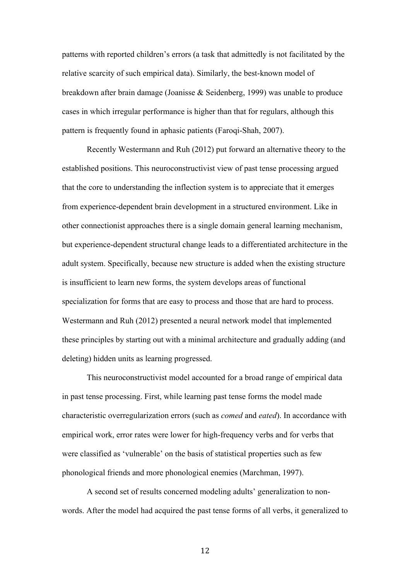patterns with reported children's errors (a task that admittedly is not facilitated by the relative scarcity of such empirical data). Similarly, the best-known model of breakdown after brain damage (Joanisse & Seidenberg, 1999) was unable to produce cases in which irregular performance is higher than that for regulars, although this pattern is frequently found in aphasic patients (Faroqi-Shah, 2007).

Recently Westermann and Ruh (2012) put forward an alternative theory to the established positions. This neuroconstructivist view of past tense processing argued that the core to understanding the inflection system is to appreciate that it emerges from experience-dependent brain development in a structured environment. Like in other connectionist approaches there is a single domain general learning mechanism, but experience-dependent structural change leads to a differentiated architecture in the adult system. Specifically, because new structure is added when the existing structure is insufficient to learn new forms, the system develops areas of functional specialization for forms that are easy to process and those that are hard to process. Westermann and Ruh (2012) presented a neural network model that implemented these principles by starting out with a minimal architecture and gradually adding (and deleting) hidden units as learning progressed.

This neuroconstructivist model accounted for a broad range of empirical data in past tense processing. First, while learning past tense forms the model made characteristic overregularization errors (such as *comed* and *eated*). In accordance with empirical work, error rates were lower for high-frequency verbs and for verbs that were classified as 'vulnerable' on the basis of statistical properties such as few phonological friends and more phonological enemies (Marchman, 1997).

A second set of results concerned modeling adults' generalization to nonwords. After the model had acquired the past tense forms of all verbs, it generalized to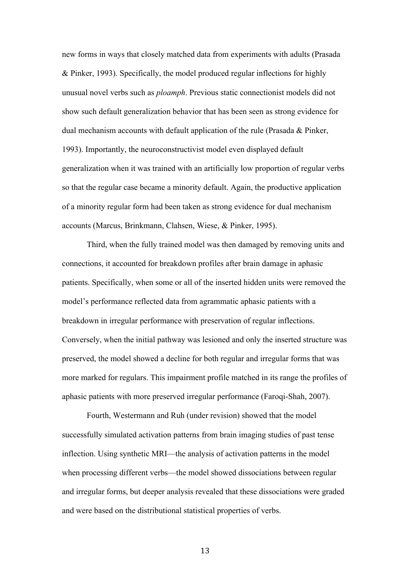new forms in ways that closely matched data from experiments with adults (Prasada & Pinker, 1993). Specifically, the model produced regular inflections for highly unusual novel verbs such as *ploamph*. Previous static connectionist models did not show such default generalization behavior that has been seen as strong evidence for dual mechanism accounts with default application of the rule (Prasada & Pinker, 1993). Importantly, the neuroconstructivist model even displayed default generalization when it was trained with an artificially low proportion of regular verbs so that the regular case became a minority default. Again, the productive application of a minority regular form had been taken as strong evidence for dual mechanism accounts (Marcus, Brinkmann, Clahsen, Wiese, & Pinker, 1995).

Third, when the fully trained model was then damaged by removing units and connections, it accounted for breakdown profiles after brain damage in aphasic patients. Specifically, when some or all of the inserted hidden units were removed the model's performance reflected data from agrammatic aphasic patients with a breakdown in irregular performance with preservation of regular inflections. Conversely, when the initial pathway was lesioned and only the inserted structure was preserved, the model showed a decline for both regular and irregular forms that was more marked for regulars. This impairment profile matched in its range the profiles of aphasic patients with more preserved irregular performance (Faroqi-Shah, 2007).

Fourth, Westermann and Ruh (under revision) showed that the model successfully simulated activation patterns from brain imaging studies of past tense inflection. Using synthetic MRI—the analysis of activation patterns in the model when processing different verbs—the model showed dissociations between regular and irregular forms, but deeper analysis revealed that these dissociations were graded and were based on the distributional statistical properties of verbs.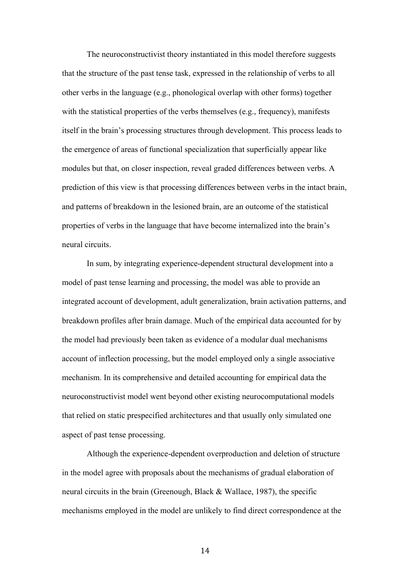The neuroconstructivist theory instantiated in this model therefore suggests that the structure of the past tense task, expressed in the relationship of verbs to all other verbs in the language (e.g., phonological overlap with other forms) together with the statistical properties of the verbs themselves (e.g., frequency), manifests itself in the brain's processing structures through development. This process leads to the emergence of areas of functional specialization that superficially appear like modules but that, on closer inspection, reveal graded differences between verbs. A prediction of this view is that processing differences between verbs in the intact brain, and patterns of breakdown in the lesioned brain, are an outcome of the statistical properties of verbs in the language that have become internalized into the brain's neural circuits.

In sum, by integrating experience-dependent structural development into a model of past tense learning and processing, the model was able to provide an integrated account of development, adult generalization, brain activation patterns, and breakdown profiles after brain damage. Much of the empirical data accounted for by the model had previously been taken as evidence of a modular dual mechanisms account of inflection processing, but the model employed only a single associative mechanism. In its comprehensive and detailed accounting for empirical data the neuroconstructivist model went beyond other existing neurocomputational models that relied on static prespecified architectures and that usually only simulated one aspect of past tense processing.

Although the experience-dependent overproduction and deletion of structure in the model agree with proposals about the mechanisms of gradual elaboration of neural circuits in the brain (Greenough, Black & Wallace, 1987), the specific mechanisms employed in the model are unlikely to find direct correspondence at the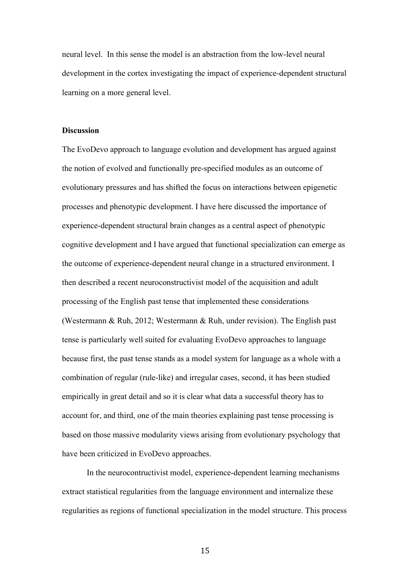neural level. In this sense the model is an abstraction from the low-level neural development in the cortex investigating the impact of experience-dependent structural learning on a more general level.

### **Discussion**

The EvoDevo approach to language evolution and development has argued against the notion of evolved and functionally pre-specified modules as an outcome of evolutionary pressures and has shifted the focus on interactions between epigenetic processes and phenotypic development. I have here discussed the importance of experience-dependent structural brain changes as a central aspect of phenotypic cognitive development and I have argued that functional specialization can emerge as the outcome of experience-dependent neural change in a structured environment. I then described a recent neuroconstructivist model of the acquisition and adult processing of the English past tense that implemented these considerations (Westermann & Ruh, 2012; Westermann & Ruh, under revision). The English past tense is particularly well suited for evaluating EvoDevo approaches to language because first, the past tense stands as a model system for language as a whole with a combination of regular (rule-like) and irregular cases, second, it has been studied empirically in great detail and so it is clear what data a successful theory has to account for, and third, one of the main theories explaining past tense processing is based on those massive modularity views arising from evolutionary psychology that have been criticized in EvoDevo approaches.

In the neurocontructivist model, experience-dependent learning mechanisms extract statistical regularities from the language environment and internalize these regularities as regions of functional specialization in the model structure. This process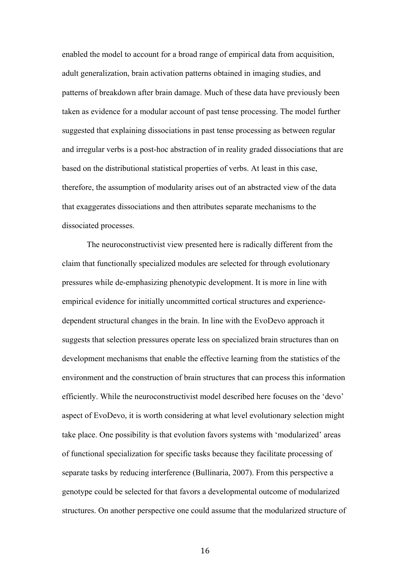enabled the model to account for a broad range of empirical data from acquisition, adult generalization, brain activation patterns obtained in imaging studies, and patterns of breakdown after brain damage. Much of these data have previously been taken as evidence for a modular account of past tense processing. The model further suggested that explaining dissociations in past tense processing as between regular and irregular verbs is a post-hoc abstraction of in reality graded dissociations that are based on the distributional statistical properties of verbs. At least in this case, therefore, the assumption of modularity arises out of an abstracted view of the data that exaggerates dissociations and then attributes separate mechanisms to the dissociated processes.

The neuroconstructivist view presented here is radically different from the claim that functionally specialized modules are selected for through evolutionary pressures while de-emphasizing phenotypic development. It is more in line with empirical evidence for initially uncommitted cortical structures and experiencedependent structural changes in the brain. In line with the EvoDevo approach it suggests that selection pressures operate less on specialized brain structures than on development mechanisms that enable the effective learning from the statistics of the environment and the construction of brain structures that can process this information efficiently. While the neuroconstructivist model described here focuses on the 'devo' aspect of EvoDevo, it is worth considering at what level evolutionary selection might take place. One possibility is that evolution favors systems with 'modularized' areas of functional specialization for specific tasks because they facilitate processing of separate tasks by reducing interference (Bullinaria, 2007). From this perspective a genotype could be selected for that favors a developmental outcome of modularized structures. On another perspective one could assume that the modularized structure of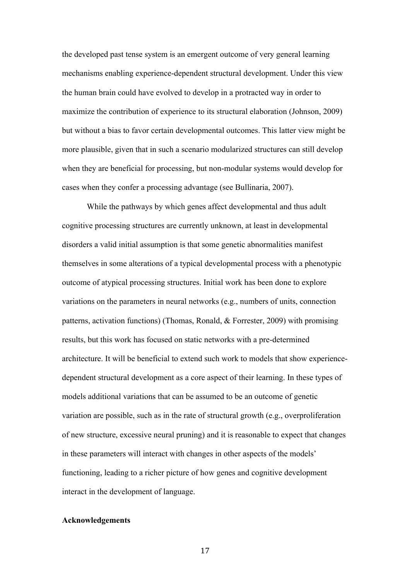the developed past tense system is an emergent outcome of very general learning mechanisms enabling experience-dependent structural development. Under this view the human brain could have evolved to develop in a protracted way in order to maximize the contribution of experience to its structural elaboration (Johnson, 2009) but without a bias to favor certain developmental outcomes. This latter view might be more plausible, given that in such a scenario modularized structures can still develop when they are beneficial for processing, but non-modular systems would develop for cases when they confer a processing advantage (see Bullinaria, 2007).

While the pathways by which genes affect developmental and thus adult cognitive processing structures are currently unknown, at least in developmental disorders a valid initial assumption is that some genetic abnormalities manifest themselves in some alterations of a typical developmental process with a phenotypic outcome of atypical processing structures. Initial work has been done to explore variations on the parameters in neural networks (e.g., numbers of units, connection patterns, activation functions) (Thomas, Ronald,  $\&$  Forrester, 2009) with promising results, but this work has focused on static networks with a pre-determined architecture. It will be beneficial to extend such work to models that show experiencedependent structural development as a core aspect of their learning. In these types of models additional variations that can be assumed to be an outcome of genetic variation are possible, such as in the rate of structural growth (e.g., overproliferation of new structure, excessive neural pruning) and it is reasonable to expect that changes in these parameters will interact with changes in other aspects of the models' functioning, leading to a richer picture of how genes and cognitive development interact in the development of language.

## **Acknowledgements**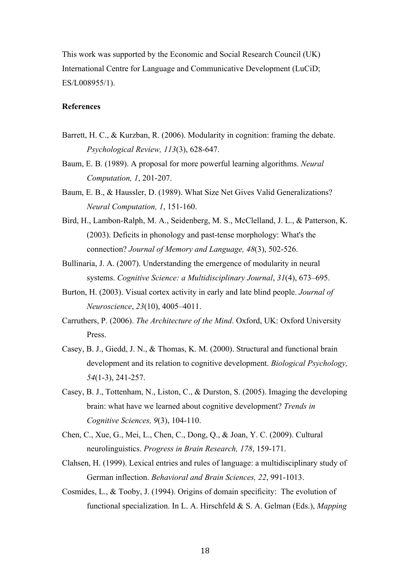This work was supported by the Economic and Social Research Council (UK) International Centre for Language and Communicative Development (LuCiD; ES/L008955/1).

### **References**

- Barrett, H. C., & Kurzban, R. (2006). Modularity in cognition: framing the debate. *Psychological Review, 113*(3), 628-647.
- Baum, E. B. (1989). A proposal for more powerful learning algorithms. *Neural Computation, 1*, 201-207.
- Baum, E. B., & Haussler, D. (1989). What Size Net Gives Valid Generalizations? *Neural Computation, 1*, 151-160.
- Bird, H., Lambon-Ralph, M. A., Seidenberg, M. S., McClelland, J. L., & Patterson, K. (2003). Deficits in phonology and past-tense morphology: What's the connection? *Journal of Memory and Language, 48*(3), 502-526.
- Bullinaria, J. A. (2007). Understanding the emergence of modularity in neural systems. *Cognitive Science: a Multidisciplinary Journal*, *31*(4), 673–695.
- Burton, H. (2003). Visual cortex activity in early and late blind people. *Journal of Neuroscience*, *23*(10), 4005–4011.
- Carruthers, P. (2006). *The Architecture of the Mind*. Oxford, UK: Oxford University Press.
- Casey, B. J., Giedd, J. N., & Thomas, K. M. (2000). Structural and functional brain development and its relation to cognitive development. *Biological Psychology, 54*(1-3), 241-257.
- Casey, B. J., Tottenham, N., Liston, C., & Durston, S. (2005). Imaging the developing brain: what have we learned about cognitive development? *Trends in Cognitive Sciences, 9*(3), 104-110.
- Chen, C., Xue, G., Mei, L., Chen, C., Dong, Q., & Joan, Y. C. (2009). Cultural neurolinguistics. *Progress in Brain Research, 178*, 159-171.
- Clahsen, H. (1999). Lexical entries and rules of language: a multidisciplinary study of German inflection. *Behavioral and Brain Sciences, 22*, 991-1013.
- Cosmides, L., & Tooby, J. (1994). Origins of domain specificity: The evolution of functional specialization. In L. A. Hirschfeld & S. A. Gelman (Eds.), *Mapping*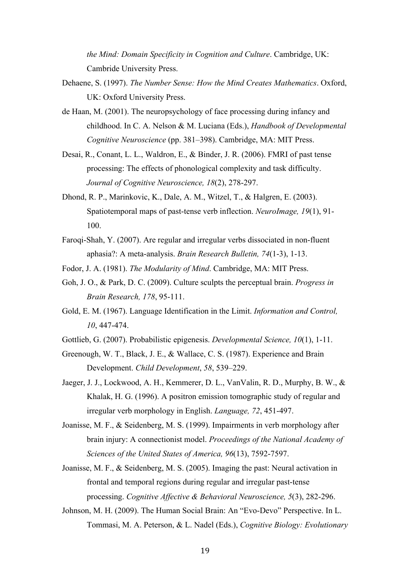*the Mind: Domain Specificity in Cognition and Culture*. Cambridge, UK: Cambride University Press.

- Dehaene, S. (1997). *The Number Sense: How the Mind Creates Mathematics*. Oxford, UK: Oxford University Press.
- de Haan, M. (2001). The neuropsychology of face processing during infancy and childhood. In C. A. Nelson & M. Luciana (Eds.), *Handbook of Developmental Cognitive Neuroscience* (pp. 381–398). Cambridge, MA: MIT Press.
- Desai, R., Conant, L. L., Waldron, E., & Binder, J. R. (2006). FMRI of past tense processing: The effects of phonological complexity and task difficulty. *Journal of Cognitive Neuroscience, 18*(2), 278-297.
- Dhond, R. P., Marinkovic, K., Dale, A. M., Witzel, T., & Halgren, E. (2003). Spatiotemporal maps of past-tense verb inflection. *NeuroImage, 19*(1), 91- 100.
- Faroqi-Shah, Y. (2007). Are regular and irregular verbs dissociated in non-fluent aphasia?: A meta-analysis. *Brain Research Bulletin, 74*(1-3), 1-13.
- Fodor, J. A. (1981). *The Modularity of Mind*. Cambridge, MA: MIT Press.
- Goh, J. O., & Park, D. C. (2009). Culture sculpts the perceptual brain. *Progress in Brain Research, 178*, 95-111.
- Gold, E. M. (1967). Language Identification in the Limit. *Information and Control, 10*, 447-474.
- Gottlieb, G. (2007). Probabilistic epigenesis. *Developmental Science, 10*(1), 1-11.
- Greenough, W. T., Black, J. E., & Wallace, C. S. (1987). Experience and Brain Development. *Child Development*, *58*, 539–229.
- Jaeger, J. J., Lockwood, A. H., Kemmerer, D. L., VanValin, R. D., Murphy, B. W., & Khalak, H. G. (1996). A positron emission tomographic study of regular and irregular verb morphology in English. *Language, 72*, 451-497.
- Joanisse, M. F., & Seidenberg, M. S. (1999). Impairments in verb morphology after brain injury: A connectionist model. *Proceedings of the National Academy of Sciences of the United States of America, 96*(13), 7592-7597.
- Joanisse, M. F., & Seidenberg, M. S. (2005). Imaging the past: Neural activation in frontal and temporal regions during regular and irregular past-tense processing. *Cognitive Affective & Behavioral Neuroscience, 5*(3), 282-296.
- Johnson, M. H. (2009). The Human Social Brain: An "Evo-Devo" Perspective. In L. Tommasi, M. A. Peterson, & L. Nadel (Eds.), *Cognitive Biology: Evolutionary*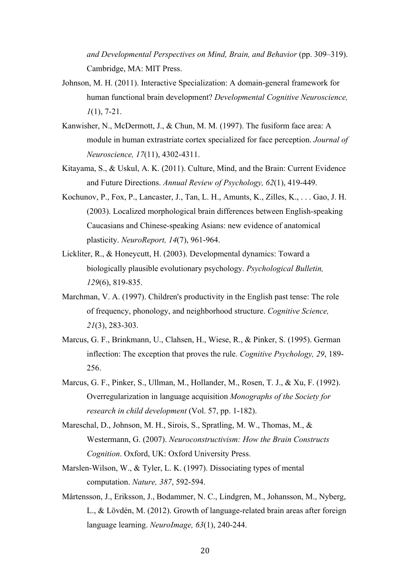*and Developmental Perspectives on Mind, Brain, and Behavior* (pp. 309–319). Cambridge, MA: MIT Press.

- Johnson, M. H. (2011). Interactive Specialization: A domain-general framework for human functional brain development? *Developmental Cognitive Neuroscience, 1*(1), 7-21.
- Kanwisher, N., McDermott, J., & Chun, M. M. (1997). The fusiform face area: A module in human extrastriate cortex specialized for face perception. *Journal of Neuroscience, 17*(11), 4302-4311.
- Kitayama, S., & Uskul, A. K. (2011). Culture, Mind, and the Brain: Current Evidence and Future Directions. *Annual Review of Psychology, 62*(1), 419-449.
- Kochunov, P., Fox, P., Lancaster, J., Tan, L. H., Amunts, K., Zilles, K., . . . Gao, J. H. (2003). Localized morphological brain differences between English-speaking Caucasians and Chinese-speaking Asians: new evidence of anatomical plasticity. *NeuroReport, 14*(7), 961-964.
- Lickliter, R., & Honeycutt, H. (2003). Developmental dynamics: Toward a biologically plausible evolutionary psychology. *Psychological Bulletin, 129*(6), 819-835.
- Marchman, V. A. (1997). Children's productivity in the English past tense: The role of frequency, phonology, and neighborhood structure. *Cognitive Science, 21*(3), 283-303.
- Marcus, G. F., Brinkmann, U., Clahsen, H., Wiese, R., & Pinker, S. (1995). German inflection: The exception that proves the rule. *Cognitive Psychology, 29*, 189- 256.
- Marcus, G. F., Pinker, S., Ullman, M., Hollander, M., Rosen, T. J., & Xu, F. (1992). Overregularization in language acquisition *Monographs of the Society for research in child development* (Vol. 57, pp. 1-182).
- Mareschal, D., Johnson, M. H., Sirois, S., Spratling, M. W., Thomas, M., & Westermann, G. (2007). *Neuroconstructivism: How the Brain Constructs Cognition*. Oxford, UK: Oxford University Press.
- Marslen-Wilson, W., & Tyler, L. K. (1997). Dissociating types of mental computation. *Nature, 387*, 592-594.
- Mårtensson, J., Eriksson, J., Bodammer, N. C., Lindgren, M., Johansson, M., Nyberg, L., & Lövdén, M. (2012). Growth of language-related brain areas after foreign language learning. *NeuroImage, 63*(1), 240-244.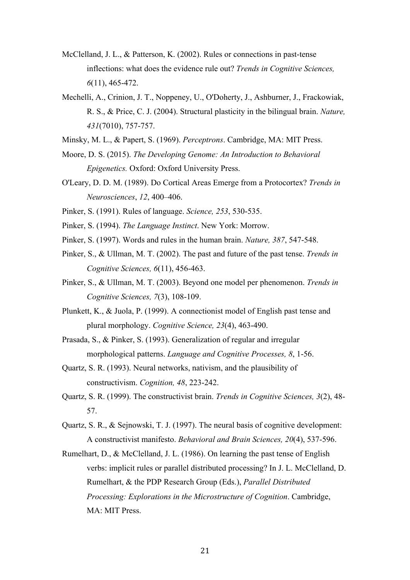- McClelland, J. L., & Patterson, K. (2002). Rules or connections in past-tense inflections: what does the evidence rule out? *Trends in Cognitive Sciences, 6*(11), 465-472.
- Mechelli, A., Crinion, J. T., Noppeney, U., O'Doherty, J., Ashburner, J., Frackowiak, R. S., & Price, C. J. (2004). Structural plasticity in the bilingual brain. *Nature, 431*(7010), 757-757.
- Minsky, M. L., & Papert, S. (1969). *Perceptrons*. Cambridge, MA: MIT Press.
- Moore, D. S. (2015). *The Developing Genome: An Introduction to Behavioral Epigenetics.* Oxford: Oxford University Press.
- O'Leary, D. D. M. (1989). Do Cortical Areas Emerge from a Protocortex? *Trends in Neurosciences*, *12*, 400–406.
- Pinker, S. (1991). Rules of language. *Science, 253*, 530-535.
- Pinker, S. (1994). *The Language Instinct*. New York: Morrow.
- Pinker, S. (1997). Words and rules in the human brain. *Nature, 387*, 547-548.
- Pinker, S., & Ullman, M. T. (2002). The past and future of the past tense. *Trends in Cognitive Sciences, 6*(11), 456-463.
- Pinker, S., & Ullman, M. T. (2003). Beyond one model per phenomenon. *Trends in Cognitive Sciences, 7*(3), 108-109.
- Plunkett, K., & Juola, P. (1999). A connectionist model of English past tense and plural morphology. *Cognitive Science, 23*(4), 463-490.
- Prasada, S., & Pinker, S. (1993). Generalization of regular and irregular morphological patterns. *Language and Cognitive Processes, 8*, 1-56.
- Quartz, S. R. (1993). Neural networks, nativism, and the plausibility of constructivism. *Cognition, 48*, 223-242.
- Quartz, S. R. (1999). The constructivist brain. *Trends in Cognitive Sciences, 3*(2), 48- 57.
- Quartz, S. R., & Sejnowski, T. J. (1997). The neural basis of cognitive development: A constructivist manifesto. *Behavioral and Brain Sciences, 20*(4), 537-596.
- Rumelhart, D., & McClelland, J. L. (1986). On learning the past tense of English verbs: implicit rules or parallel distributed processing? In J. L. McClelland, D. Rumelhart, & the PDP Research Group (Eds.), *Parallel Distributed Processing: Explorations in the Microstructure of Cognition*. Cambridge, MA: MIT Press.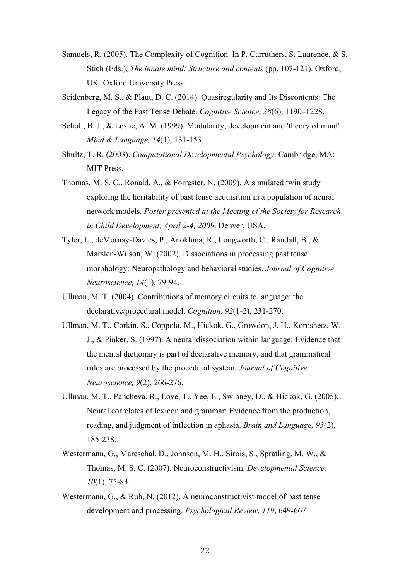- Samuels, R. (2005). The Complexity of Cognition. In P. Carruthers, S. Laurence, & S. Stich (Eds.), *The innate mind: Structure and contents* (pp. 107-121). Oxford, UK: Oxford University Press.
- Seidenberg, M. S., & Plaut, D. C. (2014). Quasiregularity and Its Discontents: The Legacy of the Past Tense Debate. *Cognitive Science*, *38*(6), 1190–1228.
- Scholl, B. J., & Leslie, A. M. (1999). Modularity, development and 'theory of mind'. *Mind & Language, 14*(1), 131-153.
- Shultz, T. R. (2003). *Computational Developmental Psychology*. Cambridge, MA: MIT Press.
- Thomas, M. S. C., Ronald, A., & Forrester, N. (2009). A simulated twin study exploring the heritability of past tense acquisition in a population of neural network models. *Poster presented at the Meeting of the Society for Research in Child Development, April 2-4, 2009*. Denver, USA.
- Tyler, L., deMornay-Davies, P., Anokhina, R., Longworth, C., Randall, B., & Marslen-Wilson, W. (2002). Dissociations in processing past tense morphology: Neuropathology and behavioral studies. *Journal of Cognitive Neuroscience, 14*(1), 79-94.
- Ullman, M. T. (2004). Contributions of memory circuits to language: the declarative/procedural model. *Cognition, 92*(1-2), 231-270.
- Ullman, M. T., Corkin, S., Coppola, M., Hickok, G., Growdon, J. H., Koroshetz, W. J., & Pinker, S. (1997). A neural dissociation within language: Evidence that the mental dictionary is part of declarative memory, and that grammatical rules are processed by the procedural system. *Journal of Cognitive Neuroscience, 9*(2), 266-276.
- Ullman, M. T., Pancheva, R., Love, T., Yee, E., Swinney, D., & Hickok, G. (2005). Neural correlates of lexicon and grammar: Evidence from the production, reading, and judgment of inflection in aphasia. *Brain and Language, 93*(2), 185-238.
- Westermann, G., Mareschal, D., Johnson, M. H., Sirois, S., Spratling, M. W., & Thomas, M. S. C. (2007). Neuroconstructivism. *Developmental Science, 10*(1), 75-83.
- Westermann, G., & Ruh, N. (2012). A neuroconstructivist model of past tense development and processing. *Psychological Review, 119*, 649-667.